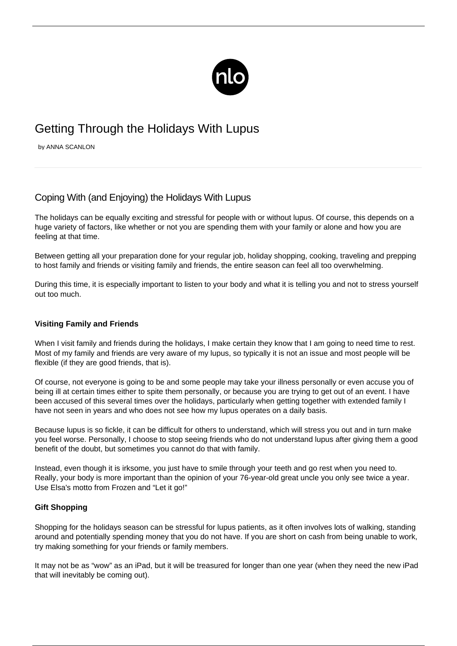

# Getting Through the Holidays With Lupus

by ANNA SCANLON

## Coping With (and Enjoying) the Holidays With Lupus

The holidays can be equally exciting and stressful for people with or without lupus. Of course, this depends on a huge variety of factors, like whether or not you are spending them with your family or alone and how you are feeling at that time.

Between getting all your preparation done for your regular job, holiday shopping, cooking, traveling and prepping to host family and friends or visiting family and friends, the entire season can feel all too overwhelming.

During this time, it is especially important to listen to your body and what it is telling you and not to stress yourself out too much.

### **Visiting Family and Friends**

When I visit family and friends during the holidays, I make certain they know that I am going to need time to rest. Most of my family and friends are very aware of my lupus, so typically it is not an issue and most people will be flexible (if they are good friends, that is).

Of course, not everyone is going to be and some people may take your illness personally or even accuse you of being ill at certain times either to spite them personally, or because you are trying to get out of an event. I have been accused of this several times over the holidays, particularly when getting together with extended family I have not seen in years and who does not see how my lupus operates on a daily basis.

Because lupus is so fickle, it can be difficult for others to understand, which will stress you out and in turn make you feel worse. Personally, I choose to stop seeing friends who do not [understand lupus](/coping-with-a-lack-of-lupus-understanding/) after giving them a good benefit of the doubt, but sometimes you cannot do that with family.

Instead, even though it is irksome, you just have to smile through your teeth and go rest when you need to. Really, your body is more important than the opinion of your 76-year-old great uncle you only see twice a year. Use Elsa's motto from Frozen and "Let it go!"

#### **Gift Shopping**

Shopping for the holidays season can be stressful for lupus patients, as it often involves lots of walking, standing around and potentially spending money that you do not have. If you are short on cash from being unable to work, try making something for your friends or family members.

It may not be as "wow" as an iPad, but it will be treasured for longer than one year (when they need the new iPad that will inevitably be coming out).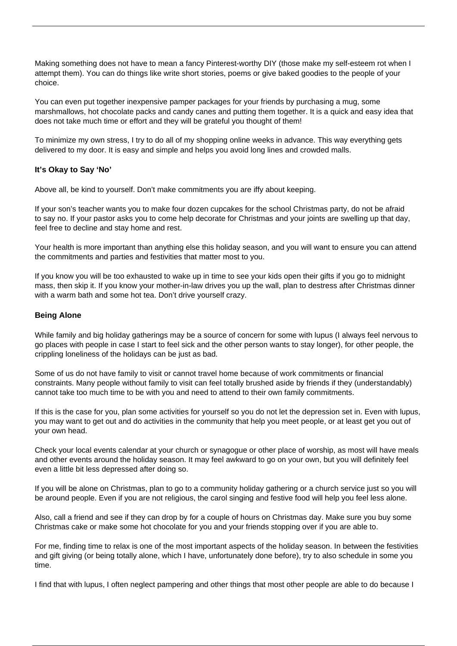Making something does not have to mean a fancy Pinterest-worthy DIY (those make my self-esteem rot when I attempt them). You can do things like write short stories, poems or give baked goodies to the people of your choice.

You can even put together inexpensive pamper packages for your friends by purchasing a mug, some marshmallows, hot chocolate packs and candy canes and putting them together. It is a quick and easy idea that does not take much time or effort and they will be grateful you thought of them!

To minimize my own stress, I try to do all of my shopping online weeks in advance. This way everything gets delivered to my door. It is easy and simple and helps you avoid long lines and crowded malls.

#### **It's Okay to Say 'No'**

Above all, be kind to yourself. Don't make commitments you are iffy about keeping.

If your son's teacher wants you to make four dozen cupcakes for the school Christmas party, do not be afraid to [say no.](/lupus-saying-no/) If your pastor asks you to come help decorate for Christmas and your joints are swelling up that day, feel free to decline and stay home and rest.

Your health is more important than anything else this holiday season, and you will want to ensure you can attend the commitments and parties and festivities that matter most to you.

If you know you will be too exhausted to wake up in time to see your kids open their gifts if you go to midnight mass, then skip it. If you know your mother-in-law drives you up the wall, plan to destress after Christmas dinner with a warm bath and some hot tea. Don't drive yourself crazy.

#### **Being Alone**

While family and big holiday gatherings may be a source of concern for some with lupus (I always feel nervous to go places with people in case I start to feel sick and the other person wants to stay longer), for other people, the crippling loneliness of the holidays can be just as bad.

Some of us do not have family to visit or cannot travel home because of work commitments or financial constraints. Many people without family to visit can feel totally brushed aside by friends if they (understandably) cannot take too much time to be with you and need to attend to their own family commitments.

If this is the case for you, plan some activities for yourself so you do not let the depression set in. Even with lupus, you may want to get out and do activities in the community that help you meet people, or at least get you out of your own head.

Check your local events calendar at your church or synagogue or other place of worship, as most will have meals and other events around the holiday season. It may feel awkward to go on your own, but you will definitely feel even a little bit less depressed after doing so.

If you will be alone on Christmas, plan to go to a community holiday gathering or a church service just so you will be around people. Even if you are not religious, the carol singing and festive food will help you feel less alone.

Also, call a friend and see if they can drop by for a couple of hours on Christmas day. Make sure you buy some Christmas cake or make some hot chocolate for you and your friends stopping over if you are able to.

For me, finding time to relax is one of the most important aspects of the holiday season. In between the festivities and gift giving (or being totally alone, which I have, unfortunately done before), try to also schedule in some you time.

I find that with lupus, I often neglect pampering and other things that most other people are able to do because I